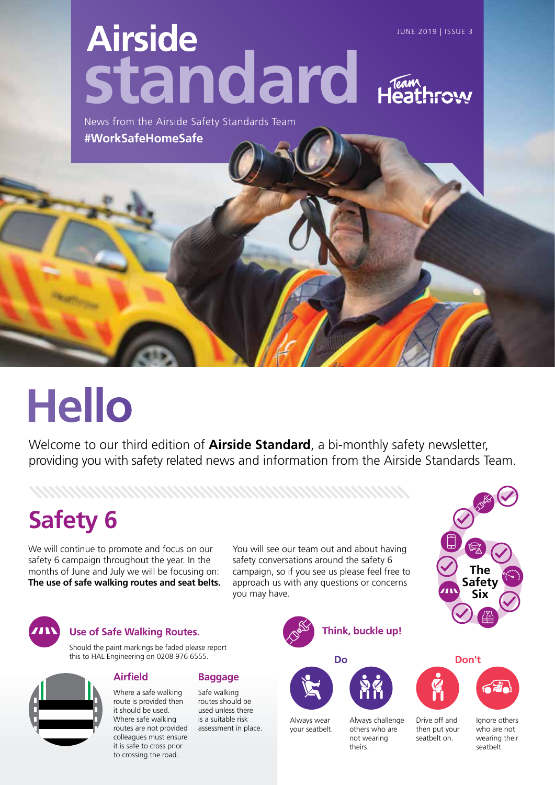# **Airside** JUNE 2019 | ISSUE 3 standard Hear

News from the Airside Safety Standards Team **#WorkSafeHomeSafe**

# **Hello**

Welcome to our third edition of **Airside Standard**, a bi-monthly safety newsletter, providing you with safety related news and information from the Airside Standards Team.

# **Safety 6**

We will continue to promote and focus on our safety 6 campaign throughout the year. In the months of June and July we will be focusing on: **The use of safe walking routes and seat belts.** 

You will see our team out and about having safety conversations around the safety 6 campaign, so if you see us please feel free to approach us with any questions or concerns you may have.

> Always wear your seatbelt.



#### **Use of Safe Walking Routes.**

Should the paint markings be faded please report this to HAL Engineering on 0208 976 6555.

#### **Airfield**

Where a safe walking route is provided then it should be used. Where safe walking routes are not provided colleagues must ensure it is safe to cross prior to crossing the road.

#### **Baggage**

Safe walking routes should be used unless there is a suitable risk assessment in place.







others who are not wearing theirs.





then put your seatbelt on.



Ignore others who are not wearing their seatbelt.



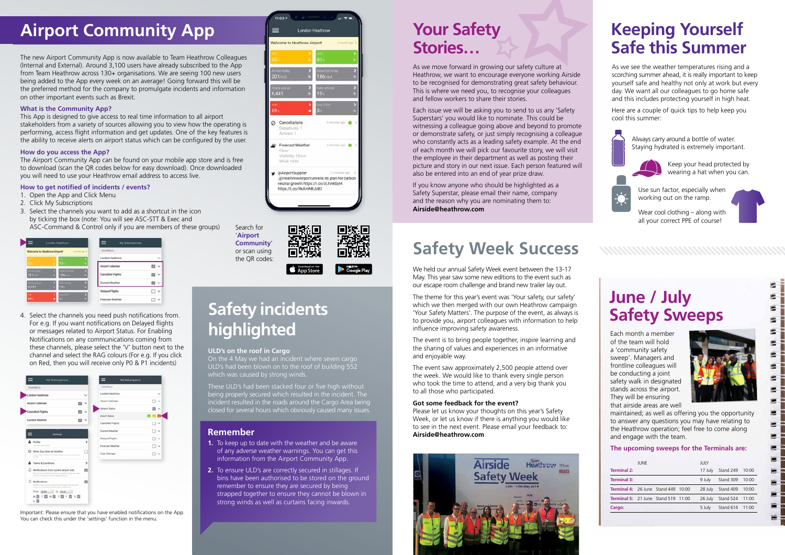Each month a member of the team will hold a 'community safety sweep'. Managers and frontline colleagues will be conducting a joint safety walk in designated stands across the airport. They will be ensuring that airside areas are well



Ė. Ξ s

扈  $\equiv$ E

×

Е

maintained; as well as offering you the opportunity to answer any questions you may have relating to the Heathrow operation; feel free to come along and engage with the team.

#### **The upcoming sweeps for the Terminals are:**

# **June / July Safety Sweeps**

The new Airport Community App is now available to Team Heathrow Colleagues (Internal and External). Around 3,100 users have already subscribed to the App from Team Heathrow across 130+ organisations. We are seeing 100 new users being added to the App every week on an average! Going forward this will be the preferred method for the company to promulgate incidents and information on other important events such as Brexit.

#### **What is the Community App?**

This App is designed to give access to real time information to all airport stakeholders from a variety of sources allowing you to view how the operating is performing, access flight information and get updates. One of the key features is the ability to receive alerts on airport status which can be configured by the user.

#### **How do you access the App?**

The Airport Community App can be found on your mobile app store and is free to download (scan the QR codes below for easy download). Once downloaded you will need to use your Heathrow email address to access live.

#### **How to get notified of incidents / events?**

- 1. Open the App and Click Menu
- 2. Click My Subscriptions
- 3. Select the channels you want to add as a shortcut in the icon by ticking the box (note: You will see ASC-STT & Exec and ASC-Command & Control only if you are members of these groups)

|         | Welcome to Heathrow Airport: | <b>GUIRELL</b><br>A Home Aut 11 |  |
|---------|------------------------------|---------------------------------|--|
|         |                              | London Heathrow                 |  |
|         |                              | Airport Calendar                |  |
| $201 -$ | <b>186 mill</b>              | <b>Cancelled Flights</b>        |  |
| 6,441   |                              | Current Weather                 |  |
|         |                              | <b>Delayed Flights</b>          |  |
| 69%     |                              | Forecast Westher                |  |

The event is to bring people together, inspire learning and the sharing of values and experiences in an informative and enjoyable way.

|                                            | <b>JUNE</b> |  | JULY    |                         |       |  |  |
|--------------------------------------------|-------------|--|---------|-------------------------|-------|--|--|
| <b>Terminal 2:</b>                         |             |  | 17 July | Stand 249 10:00         |       |  |  |
| <b>Terminal 3:</b>                         |             |  | 9 July  | Stand 309 10:00         |       |  |  |
| <b>Terminal 4: 26 June Stand 449 10:00</b> |             |  | 28 July | Stand 409               | 10:00 |  |  |
| <b>Terminal 5:</b> 21 June Stand 519 11:00 |             |  |         | 26 July Stand 524 11:00 |       |  |  |
| Cargo:                                     |             |  | 5 July  | Stand 614 11:00         |       |  |  |
|                                            |             |  |         |                         |       |  |  |

# **Your Safety Stories…**

As we move forward in growing our safety culture at Heathrow, we want to encourage everyone working Airside to be recognised for demonstrating great safety behaviour. This is where we need you, to recognise your colleagues and fellow workers to share their stories.

Each issue we will be asking you to send to us any 'Safety Superstars' you would like to nominate. This could be witnessing a colleague going above and beyond to promote or demonstrate safety, or just simply recognising a colleague who constantly acts as a leading safety example. At the end of each month we will pick our favourite story, we will visit the employee in their department as well as posting their picture and story in our next issue. Each person featured will also be entered into an end of year prize draw.

If you know anyone who should be highlighted as a Safety Superstar, please email their name, company and the reason why you are nominating them to: **Airside@heathrow.com**

# **Safety Week Success**

Wear cool clothing – along with all your correct PPE of course!

We held our annual Safety Week event between the 13-17 May. This year saw some new editions to the event such as our escape room challenge and brand new trailer lay out.

The theme for this year's event was 'Your safety, our safety' which we then merged with our own Heathrow campaign 'Your Safety Matters'. The purpose of the event, as always is to provide you, airport colleagues with information to help influence improving safety awareness.

The event saw approximately 2,500 people attend over the week. We would like to thank every single person who took the time to attend, and a very big thank you to all those who participated.

#### **Got some feedback for the event?**

Please let us know your thoughts on this year's Safety Week, or let us know if there is anything you would like to see in the next event. Please email your feedback to: **Airside@heathrow.com**



# **Airport Community App**

Search for '**Airport Community**' or scan using the QR codes:



4. Select the channels you need push notifications from. For e.g. If you want notifications on Delayed flights or messages related to Airport Status. For Enabling Notifications on any communications coming from these channels, please select the 'V' button next to the channel and select the RAG colours (For e.g. If you click on Red, then you will receive only P0 & P1 incidents)

| <b>STATISTIC</b><br>London Hirathrow<br>×<br>Airport Calendar<br>闘い<br>Cancelled Flights<br>w<br>Current Weather<br>$\sim$                      | London Heathman<br>M<br><b>Airport Calendar</b><br>٧<br>$\mathbb{R}^n$<br>Airport Distus:<br>四つ<br>Argolf Status:<br>Cancelled Flights |
|-------------------------------------------------------------------------------------------------------------------------------------------------|----------------------------------------------------------------------------------------------------------------------------------------|
|                                                                                                                                                 |                                                                                                                                        |
|                                                                                                                                                 |                                                                                                                                        |
|                                                                                                                                                 |                                                                                                                                        |
|                                                                                                                                                 |                                                                                                                                        |
|                                                                                                                                                 | $\sim$                                                                                                                                 |
| Settings                                                                                                                                        | <b>Current Missiber</b><br>$\sim$                                                                                                      |
|                                                                                                                                                 | Délayed Plothis<br><b>Ad</b>                                                                                                           |
| ٠<br>A Profile<br><b>San Area</b>                                                                                                               | <b>Forecast Steatfull</b><br>1.96                                                                                                      |
| ø<br>Show Zulu time on timeline<br>The Alvis Chains City they were all also in party<br>of bar                                                  | <b>Call Changes</b><br>54                                                                                                              |
| s<br>Terms & Conditions<br>ã                                                                                                                    |                                                                                                                                        |
| utk<br>Notfleatens from current airport only<br>ы<br>The serves of any manifestic state in the tend and put in the delivery plus through<br>34  |                                                                                                                                        |
| Notifications<br>四                                                                                                                              |                                                                                                                                        |
| Institutional and confusional Companies<br>The property and the company of the later and contact the definition of the<br>From 00.04. 10 23.98. |                                                                                                                                        |

Important: Please ensure that you have enabled notifications on the App. You can check this under the 'settings' function in the menu.



#### **ULD's on the roof in Cargo**

On the 4 May we had an incident where seven cargo ULD's had been blown on to the roof of building 552 which was caused by strong winds.

These ULD's had been stacked four or five high without being properly secured which resulted in the incident. The incident resulted in the roads around the Cargo Area being closed for several hours which obviously caused many issues.

# **Safety incidents highlighted**

#### **Remember**

- **1.** To keep up to date with the weather and be aware of any adverse weather warnings. You can get this information from the Airport Community App.
- **2.** To ensure ULD's are correctly secured in stillages. If bins have been authorised to be stored on the ground remember to ensure they are secured by being strapped together to ensure they cannot be blown in strong winds as well as curtains facing inwards.

### **Keeping Yourself Safe this Summer**

As we see the weather temperatures rising and a scorching summer ahead, it is really important to keep yourself safe and healthy not only at work but every day. We want all our colleagues to go home safe and this includes protecting yourself in high heat.

Here are a couple of quick tips to help keep you cool this summer:



Always carry around a bottle of water. Staying hydrated is extremely important.



Keep your head protected by wearing a hat when you can.



Use sun factor, especially when working out on the ramp.